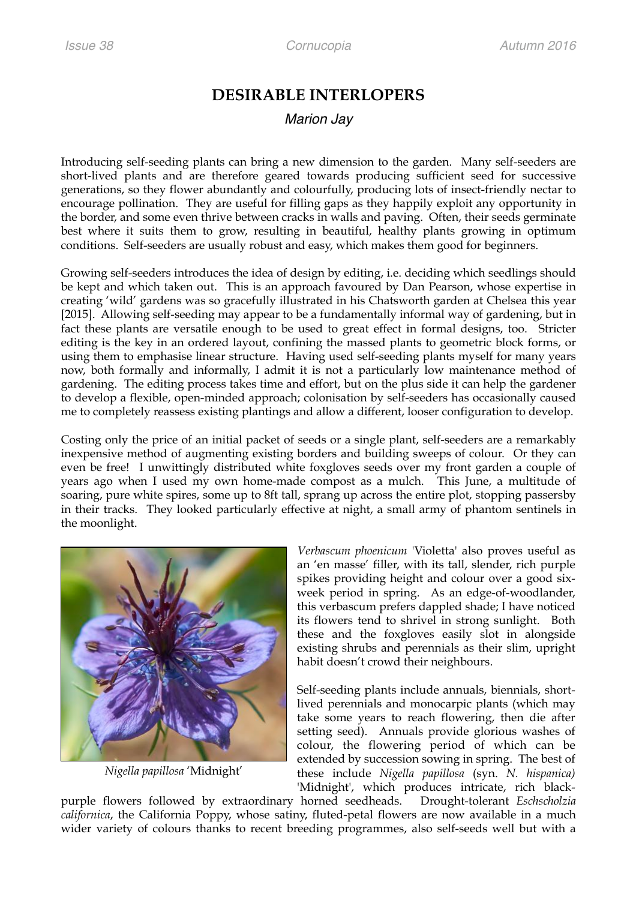# **DESIRABLE INTERLOPERS**

## *Marion Jay*

Introducing self-seeding plants can bring a new dimension to the garden. Many self-seeders are short-lived plants and are therefore geared towards producing sufficient seed for successive generations, so they flower abundantly and colourfully, producing lots of insect-friendly nectar to encourage pollination. They are useful for filling gaps as they happily exploit any opportunity in the border, and some even thrive between cracks in walls and paving. Often, their seeds germinate best where it suits them to grow, resulting in beautiful, healthy plants growing in optimum conditions. Self-seeders are usually robust and easy, which makes them good for beginners.

Growing self-seeders introduces the idea of design by editing, i.e. deciding which seedlings should be kept and which taken out. This is an approach favoured by Dan Pearson, whose expertise in creating 'wild' gardens was so gracefully illustrated in his Chatsworth garden at Chelsea this year [2015]. Allowing self-seeding may appear to be a fundamentally informal way of gardening, but in fact these plants are versatile enough to be used to great effect in formal designs, too. Stricter editing is the key in an ordered layout, confining the massed plants to geometric block forms, or using them to emphasise linear structure. Having used self-seeding plants myself for many years now, both formally and informally, I admit it is not a particularly low maintenance method of gardening. The editing process takes time and effort, but on the plus side it can help the gardener to develop a flexible, open-minded approach; colonisation by self-seeders has occasionally caused me to completely reassess existing plantings and allow a different, looser configuration to develop.

Costing only the price of an initial packet of seeds or a single plant, self-seeders are a remarkably inexpensive method of augmenting existing borders and building sweeps of colour. Or they can even be free! I unwittingly distributed white foxgloves seeds over my front garden a couple of years ago when I used my own home-made compost as a mulch. This June, a multitude of soaring, pure white spires, some up to 8ft tall, sprang up across the entire plot, stopping passersby in their tracks. They looked particularly effective at night, a small army of phantom sentinels in the moonlight.



*Nigella papillosa* 'Midnight'

*Verbascum phoenicum* 'Violetta' also proves useful as an 'en masse' filler, with its tall, slender, rich purple spikes providing height and colour over a good sixweek period in spring. As an edge-of-woodlander, this verbascum prefers dappled shade; I have noticed its flowers tend to shrivel in strong sunlight. Both these and the foxgloves easily slot in alongside existing shrubs and perennials as their slim, upright habit doesn't crowd their neighbours.

Self-seeding plants include annuals, biennials, shortlived perennials and monocarpic plants (which may take some years to reach flowering, then die after setting seed). Annuals provide glorious washes of colour, the flowering period of which can be extended by succession sowing in spring. The best of these include *Nigella papillosa* (syn. *N. hispanica)*  'Midnight', which produces intricate, rich black-

purple flowers followed by extraordinary horned seedheads. Drought-tolerant *Eschscholzia californica*, the California Poppy, whose satiny, fluted-petal flowers are now available in a much wider variety of colours thanks to recent breeding programmes, also self-seeds well but with a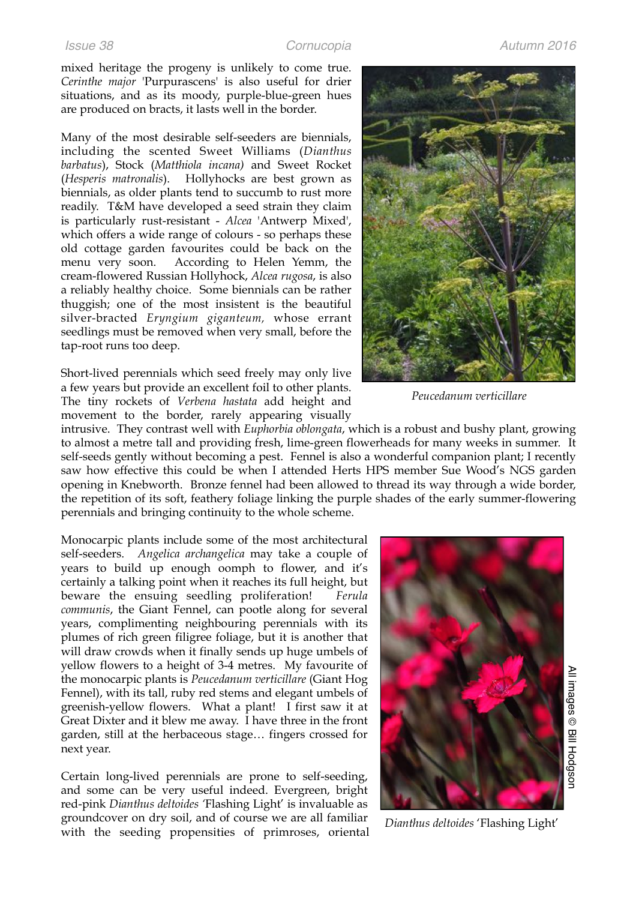mixed heritage the progeny is unlikely to come true. *Cerinthe major* 'Purpurascens' is also useful for drier situations, and as its moody, purple-blue-green hues are produced on bracts, it lasts well in the border.

Many of the most desirable self-seeders are biennials, including the scented Sweet Williams (*Dianthus barbatus*), Stock (*Matthiola incana)* and Sweet Rocket (*Hesperis matronalis*). Hollyhocks are best grown as biennials, as older plants tend to succumb to rust more readily. T&M have developed a seed strain they claim is particularly rust-resistant - *Alcea* 'Antwerp Mixed', which offers a wide range of colours - so perhaps these old cottage garden favourites could be back on the menu very soon. According to Helen Yemm, the cream-flowered Russian Hollyhock, *Alcea rugosa*, is also a reliably healthy choice. Some biennials can be rather thuggish; one of the most insistent is the beautiful silver-bracted *Eryngium giganteum,* whose errant seedlings must be removed when very small, before the tap-root runs too deep.

Short-lived perennials which seed freely may only live a few years but provide an excellent foil to other plants. The tiny rockets of *Verbena hastata* add height and movement to the border, rarely appearing visually

intrusive. They contrast well with *Euphorbia oblongata*, which is a robust and bushy plant, growing to almost a metre tall and providing fresh, lime-green flowerheads for many weeks in summer. It self-seeds gently without becoming a pest. Fennel is also a wonderful companion plant; I recently saw how effective this could be when I attended Herts HPS member Sue Wood's NGS garden opening in Knebworth. Bronze fennel had been allowed to thread its way through a wide border, the repetition of its soft, feathery foliage linking the purple shades of the early summer-flowering perennials and bringing continuity to the whole scheme.

Monocarpic plants include some of the most architectural self-seeders. *Angelica archangelica* may take a couple of years to build up enough oomph to flower, and it's certainly a talking point when it reaches its full height, but beware the ensuing seedling proliferation! *Ferula communis*, the Giant Fennel, can pootle along for several years, complimenting neighbouring perennials with its plumes of rich green filigree foliage, but it is another that will draw crowds when it finally sends up huge umbels of yellow flowers to a height of 3-4 metres. My favourite of the monocarpic plants is *Peucedanum verticillare* (Giant Hog Fennel), with its tall, ruby red stems and elegant umbels of greenish-yellow flowers. What a plant! I first saw it at Great Dixter and it blew me away. I have three in the front garden, still at the herbaceous stage… fingers crossed for next year.

Certain long-lived perennials are prone to self-seeding, and some can be very useful indeed. Evergreen, bright red-pink *Dianthus deltoides '*Flashing Light' is invaluable as groundcover on dry soil, and of course we are all familiar with the seeding propensities of primroses, oriental



*Peucedanum verticillare*



*Dianthus deltoides* 'Flashing Light'